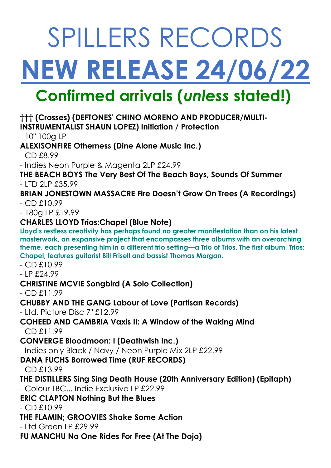# SPILLERS RECORDS **NEW RELEASE 24/06/22 Confirmed arrivals (***unless* **stated!)**

# **††† (Crosses) (DEFTONES' CHINO MORENO AND PRODUCER/MULTI-**

**INSTRUMENTALIST SHAUN LOPEZ) Initiation / Protection**

- 10" 100g LP

**ALEXISONFIRE Otherness (Dine Alone Music Inc.)** 

- CD £8.99

- Indies Neon Purple & Magenta 2LP £24.99

**THE BEACH BOYS The Very Best Of The Beach Boys, Sounds Of Summer**  - LTD 2LP £35.99

**BRIAN JONESTOWN MASSACRE Fire Doesn't Grow On Trees (A Recordings)**  - CD £10.99

- 180g LP £19.99

# **CHARLES LLOYD Trios:Chapel (Blue Note)**

**Lloyd's restless creativity has perhaps found no greater manifestation than on his latest masterwork, an expansive project that encompasses three albums with an overarching theme, each presenting him in a different trio setting—a Trio of Trios. The first album, Trios: Chapel, features guitarist Bill Frisell and bassist Thomas Morgan.**

- CD £10.99

- LP £24.99

# **CHRISTINE MCVIE Songbird (A Solo Collection)**

- CD £11.99

**CHUBBY AND THE GANG Labour of Love (Partisan Records)**

- Ltd. Picture Disc 7" £12.99

#### **COHEED AND CAMBRIA Vaxis II: A Window of the Waking Mind**  - CD £11.99

**CONVERGE Bloodmoon: I (Deathwish Inc.)** 

- Indies only Black / Navy / Neon Purple Mix 2LP £22.99

# **DANA FUCHS Borrowed Time (RUF RECORDS)**

- CD £13.99

# **THE DISTILLERS Sing Sing Death House (20th Anniversary Edition) (Epitaph)**

- Colour TBC... Indie Exclusive LP £22.99

**ERIC CLAPTON Nothing But the Blues** 

- CD £10.99

# **THE FLAMIN; GROOVIES Shake Some Action**

- Ltd Green LP £29.99

**FU MANCHU No One Rides For Free (At The Dojo)**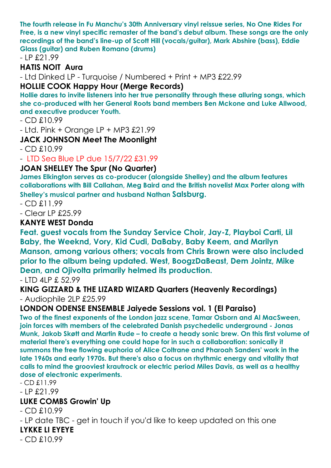**The fourth release in Fu Manchu's 30th Anniversary vinyl reissue series, No One Rides For Free, is a new vinyl specific remaster of the band's debut album. These songs are the only recordings of the band's line-up of Scott Hill (vocals/guitar), Mark Abshire (bass), Eddie Glass (guitar) and Ruben Romano (drums)**

- LP £21.99

#### **HATIS NOIT Aura**

- Ltd Dinked LP - Turquoise / Numbered + Print + MP3 £22.99

#### **HOLLIE COOK Happy Hour (Merge Records)**

**Hollie dares to invite listeners into her true personality through these alluring songs, which she co-produced with her General Roots band members Ben Mckone and Luke Allwood, and executive producer Youth.**

- CD £10.99

- Ltd. Pink + Orange LP + MP3 £21.99

#### **JACK JOHNSON Meet The Moonlight**

 $-$  CD  $£10.99$ 

- LTD Sea Blue LP due 15/7/22 £31.99

#### **JOAN SHELLEY The Spur (No Quarter)**

**James Elkington serves as co-producer (alongside Shelley) and the album features collaborations with Bill Callahan, Meg Baird and the British novelist Max Porter along with Shelley's musical partner and husband Nathan Salsburg.**

 $-$  CD  $£11.99$ 

- Clear LP £25.99

#### **KANYE WEST Donda**

**Feat. guest vocals from the Sunday Service Choir, Jay-Z, Playboi Carti, Lil Baby, the Weeknd, Vory, Kid Cudi, DaBaby, Baby Keem, and Marilyn Manson, among various others; vocals from Chris Brown were also included prior to the album being updated. West, BoogzDaBeast, Dem Jointz, Mike Dean, and Ojivolta primarily helmed its production.**

- LTD 4LP £ 52.99

**KING GIZZARD & THE LIZARD WIZARD Quarters (Heavenly Recordings)**  - Audiophile 2LP £25.99

#### **LONDON ODENSE ENSEMBLE Jaiyede Sessions vol. 1 (El Paraiso)**

**Two of the finest exponents of the London jazz scene, Tamar Osborn and Al MacSween, join forces with members of the celebrated Danish psychedelic underground - Jonas Munk, Jakob Skøtt and Martin Rude – to create a heady sonic brew. On this first volume of material there's everything one could hope for in such a collaboration: sonically it summons the free flowing euphoria of Alice Coltrane and Pharoah Sanders' work in the late 1960s and early 1970s. But there's also a focus on rhythmic energy and vitality that calls to mind the grooviest krautrock or electric period Miles Davis, as well as a healthy dose of electronic experiments.**

- CD £11.99

- LP £21.99

#### **LUKE COMBS Growin' Up**

 $-$  CD  $£10.99$ 

- LP date TBC - get in touch if you'd like to keep updated on this one

#### **LYKKE LI EYEYE**

- CD £10.99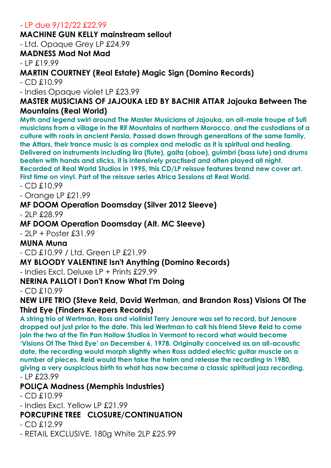#### - LP due 9/12/22 £22.99

#### **MACHINE GUN KELLY mainstream sellout**

- Ltd. Opaque Grey LP £24.99

#### **MADNESS Mad Not Mad**

 $-$  LP  $£19.99$ 

#### **MARTIN COURTNEY (Real Estate) Magic Sign (Domino Records)**

- CD £10.99

- Indies Opaque violet LP £23.99

#### **MASTER MUSICIANS OF JAJOUKA LED BY BACHIR ATTAR Jajouka Between The Mountains (Real World)**

**Myth and legend swirl around The Master Musicians of Jajouka, an all-male troupe of Sufi musicians from a village in the Rif Mountains of northern Morocco, and the custodians of a culture with roots in ancient Persia. Passed down through generations of the same family, the Attars, their trance music is as complex and melodic as it is spiritual and healing. Delivered on instruments including lira (flute), gaita (oboe), guimbri (bass lute) and drums beaten with hands and sticks, it is intensively practised and often played all night. Recorded at Real World Studios in 1995, this CD/LP reissue features brand new cover art.** 

**First time on vinyl. Part of the reissue series Africa Sessions at Real World.**

- CD £10.99

- Orange LP £21.99

#### **MF DOOM Operation Doomsday (Silver 2012 Sleeve)**

 $-$  2LP £28.99

#### **MF DOOM Operation Doomsday (Alt. MC Sleeve)**

- 2LP + Poster £31.99

#### **MUNA Muna**

- CD £10.99 / Ltd. Green LP £21.99

#### **MY BLOODY VALENTINE Isn't Anything (Domino Records)**

- Indies Excl. Deluxe LP + Prints £29.99

#### **NERINA PALLOT I Don't Know What I'm Doing**

 $-$  CD  $£10.99$ 

#### **NEW LIFE TRIO (Steve Reid, David Wertman, and Brandon Ross) Visions Of The Third Eye (Finders Keepers Records)**

**A string trio of Wertman, Ross and violinist Terry Jenoure was set to record, but Jenoure dropped out just prior to the date. This led Wertman to call his friend Steve Reid to come join the two at the Tin Pan Hollow Studios in Vermont to record what would become 'Visions Of The Third Eye' on December 6, 1978. Originally conceived as an all-acoustic date, the recording would morph slightly when Ross added electric guitar muscle on a number of pieces. Reid would then take the helm and release the recording in 1980, giving a very auspicious birth to what has now become a classic spiritual jazz recording.** - LP £23.99

#### **POLIÇA Madness (Memphis Industries)**

- CD £10.99
- Indies Excl. Yellow LP £21.99

#### **PORCUPINE TREE CLOSURE/CONTINUATION**

- CD £12.99
- RETAIL EXCLUSIVE. 180g White 2LP £25.99